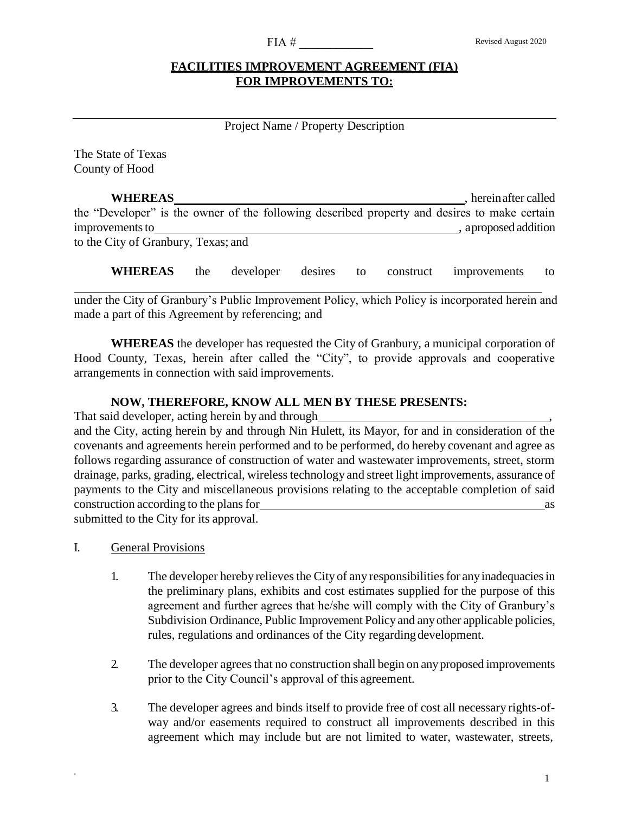#### $FIA \#$

# **FACILITIES IMPROVEMENT AGREEMENT (FIA) FOR IMPROVEMENTS TO:**

# Project Name / Property Description

The State of Texas County of Hood

**WHEREAS** , herein after called the "Developer" is the owner of the following described property and desires to make certain improvements to subset of the state of the state of the state of the state of the state of the state of the state of the state of the state of the state of the state of the state of the state of the state of the state of t to the City of Granbury, Texas; and

**WHEREAS** the developer desires to construct improvements to

under the City of Granbury's Public Improvement Policy, which Policy is incorporated herein and made a part of this Agreement by referencing; and

**WHEREAS** the developer has requested the City of Granbury, a municipal corporation of Hood County, Texas, herein after called the "City", to provide approvals and cooperative arrangements in connection with said improvements.

## **NOW, THEREFORE, KNOW ALL MEN BY THESE PRESENTS:**

That said developer, acting herein by and through and the City, acting herein by and through Jim Jarratt, its Mayor, for and in consideration of the covenants and agreements herein performed and to be performed, do hereby covenant and agree as follows regarding assurance of construction of water and wastewater improvements, street, storm drainage, parks, grading, electrical, wireless technology and street light improvements, assurance of payments to the City and miscellaneous provisions relating to the acceptable completion of said construction according to the plans for as submitted to the City for its approval.

I. General Provisions

- 1. The developer hereby relieves the City of any responsibilities for any inadequacies in the preliminary plans, exhibits and cost estimates supplied for the purpose of this agreement and further agrees that he/she will comply with the City of Granbury's Subdivision Ordinance, Public Improvement Policy and anyother applicable policies, rules, regulations and ordinances of the City regardingdevelopment.
- 2. The developer agrees that no construction shall begin on any proposed improvements prior to the City Council's approval of this agreement.
- 3. The developer agrees and binds itself to provide free of cost all necessary rights-ofway and/or easements required to construct all improvements described in this agreement which may include but are not limited to water, wastewater, streets,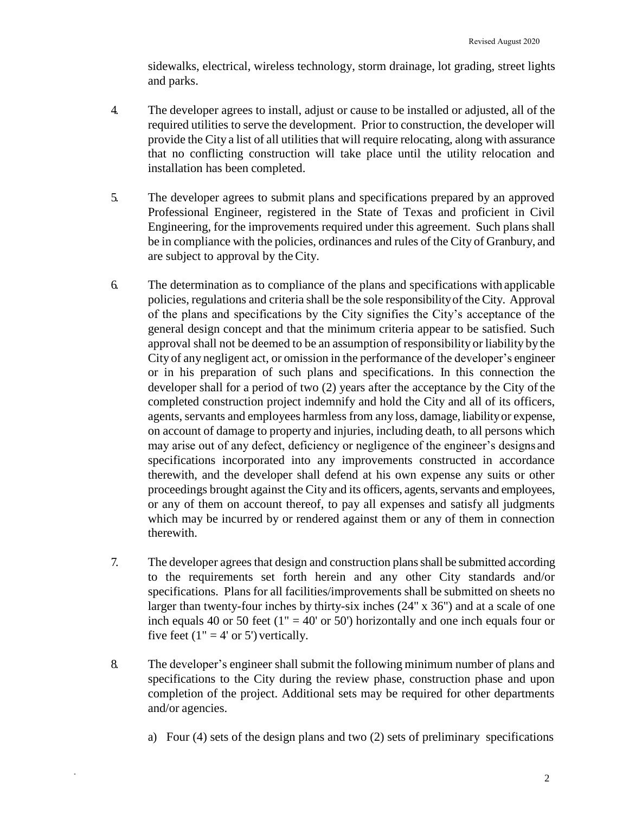sidewalks, electrical, wireless technology, storm drainage, lot grading, street lights and parks.

- 4. The developer agrees to install, adjust or cause to be installed or adjusted, all of the required utilities to serve the development. Prior to construction, the developer will provide the City a list of all utilities that will require relocating, along with assurance that no conflicting construction will take place until the utility relocation and installation has been completed.
- 5. The developer agrees to submit plans and specifications prepared by an approved Professional Engineer, registered in the State of Texas and proficient in Civil Engineering, for the improvements required under this agreement. Such plans shall be in compliance with the policies, ordinances and rules of the City of Granbury, and are subject to approval by theCity.
- 6. The determination as to compliance of the plans and specifications with applicable policies, regulations and criteria shall be the sole responsibilityof the City. Approval of the plans and specifications by the City signifies the City's acceptance of the general design concept and that the minimum criteria appear to be satisfied. Such approval shall not be deemed to be an assumption of responsibility or liability by the City of any negligent act, or omission in the performance of the developer's engineer or in his preparation of such plans and specifications. In this connection the developer shall for a period of two (2) years after the acceptance by the City of the completed construction project indemnify and hold the City and all of its officers, agents, servants and employees harmless from any loss, damage, liability or expense, on account of damage to property and injuries, including death, to all persons which may arise out of any defect, deficiency or negligence of the engineer's designs and specifications incorporated into any improvements constructed in accordance therewith, and the developer shall defend at his own expense any suits or other proceedings brought against the City and its officers, agents, servants and employees, or any of them on account thereof, to pay all expenses and satisfy all judgments which may be incurred by or rendered against them or any of them in connection therewith.
- 7. The developer agrees that design and construction plans shall be submitted according to the requirements set forth herein and any other City standards and/or specifications. Plans for all facilities/improvements shall be submitted on sheets no larger than twenty-four inches by thirty-six inches (24" x 36") and at a scale of one inch equals 40 or 50 feet ( $1'' = 40'$  or 50') horizontally and one inch equals four or five feet  $(1" = 4'$  or 5') vertically.
- 8. The developer's engineer shall submit the following minimum number of plans and specifications to the City during the review phase, construction phase and upon completion of the project. Additional sets may be required for other departments and/or agencies.

\*

a) Four (4) sets of the design plans and two (2) sets of preliminary specifications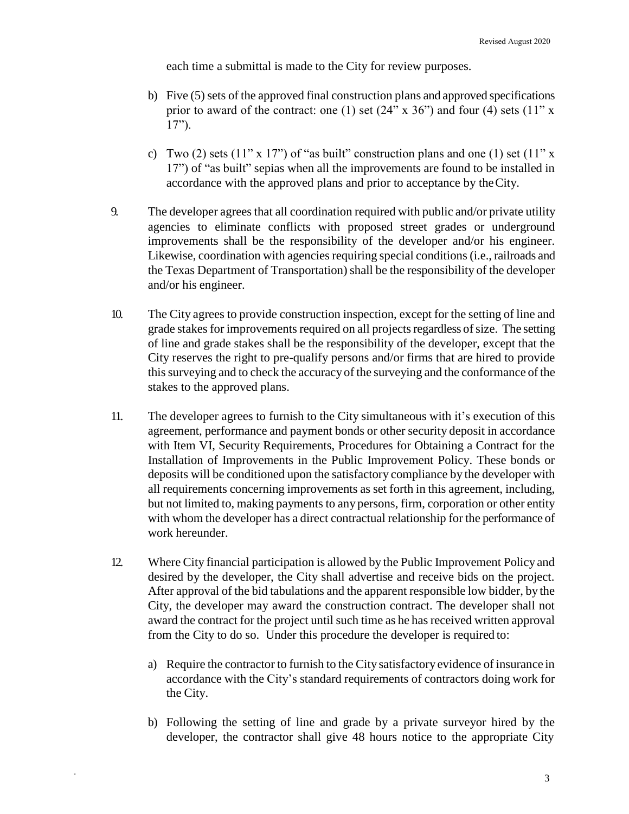each time a submittal is made to the City for review purposes.

- b) Five (5) sets of the approved final construction plans and approved specifications prior to award of the contract: one (1) set  $(24" \times 36")$  and four (4) sets  $(11" \times$ 17").
- c) Two (2) sets (11" x 17") of "as built" construction plans and one (1) set (11" x 17") of "as built" sepias when all the improvements are found to be installed in accordance with the approved plans and prior to acceptance by theCity.
- 9. The developer agrees that all coordination required with public and/or private utility agencies to eliminate conflicts with proposed street grades or underground improvements shall be the responsibility of the developer and/or his engineer. Likewise, coordination with agencies requiring special conditions (i.e., railroads and the Texas Department of Transportation) shall be the responsibility of the developer and/or his engineer.
- 10. The City agrees to provide construction inspection, except for the setting of line and grade stakes for improvements required on all projects regardless of size. The setting of line and grade stakes shall be the responsibility of the developer, except that the City reserves the right to pre-qualify persons and/or firms that are hired to provide this surveying and to check the accuracy of the surveying and the conformance of the stakes to the approved plans.
- 11. The developer agrees to furnish to the City simultaneous with it's execution of this agreement, performance and payment bonds or other security deposit in accordance with Item VI, Security Requirements, Procedures for Obtaining a Contract for the Installation of Improvements in the Public Improvement Policy. These bonds or deposits will be conditioned upon the satisfactory compliance by the developer with all requirements concerning improvements as set forth in this agreement, including, but not limited to, making payments to any persons, firm, corporation or other entity with whom the developer has a direct contractual relationship for the performance of work hereunder.
- 12. Where City financial participation is allowed by the Public Improvement Policy and desired by the developer, the City shall advertise and receive bids on the project. After approval of the bid tabulations and the apparent responsible low bidder, by the City, the developer may award the construction contract. The developer shall not award the contract for the project until such time as he has received written approval from the City to do so. Under this procedure the developer is required to:
	- a) Require the contractor to furnish to the City satisfactory evidence of insurance in accordance with the City's standard requirements of contractors doing work for the City.
	- b) Following the setting of line and grade by a private surveyor hired by the developer, the contractor shall give 48 hours notice to the appropriate City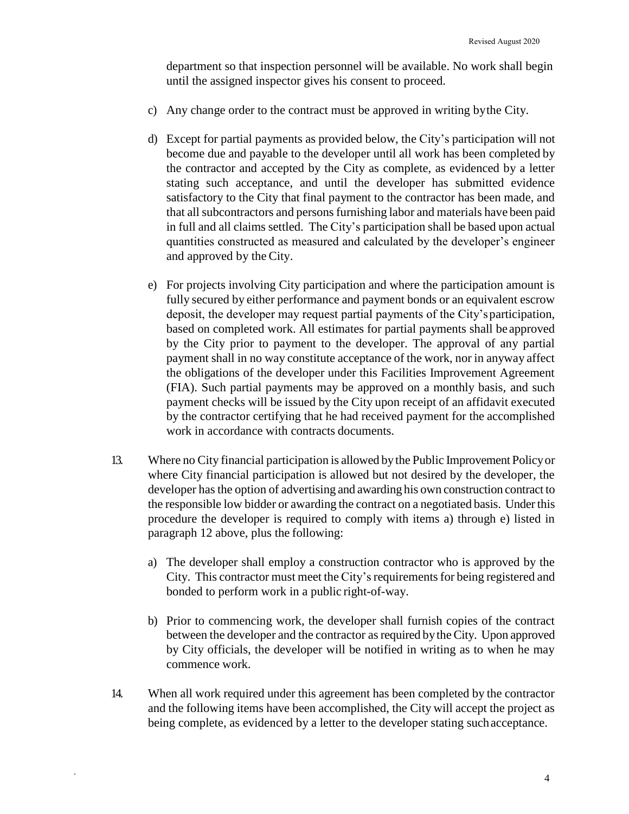department so that inspection personnel will be available. No work shall begin until the assigned inspector gives his consent to proceed.

- c) Any change order to the contract must be approved in writing bythe City.
- d) Except for partial payments as provided below, the City's participation will not become due and payable to the developer until all work has been completed by the contractor and accepted by the City as complete, as evidenced by a letter stating such acceptance, and until the developer has submitted evidence satisfactory to the City that final payment to the contractor has been made, and that all subcontractors and persons furnishing labor and materials have been paid in full and all claims settled. The City's participation shall be based upon actual quantities constructed as measured and calculated by the developer's engineer and approved by the City.
- e) For projects involving City participation and where the participation amount is fully secured by either performance and payment bonds or an equivalent escrow deposit, the developer may request partial payments of the City'sparticipation, based on completed work. All estimates for partial payments shall be approved by the City prior to payment to the developer. The approval of any partial payment shall in no way constitute acceptance of the work, nor in anyway affect the obligations of the developer under this Facilities Improvement Agreement (FIA). Such partial payments may be approved on a monthly basis, and such payment checks will be issued by the City upon receipt of an affidavit executed by the contractor certifying that he had received payment for the accomplished work in accordance with contracts documents.
- 13. Where no City financial participation is allowed by the Public Improvement Policyor where City financial participation is allowed but not desired by the developer, the developer has the option of advertising and awarding his own construction contract to the responsible low bidder or awarding the contract on a negotiated basis. Underthis procedure the developer is required to comply with items a) through e) listed in paragraph 12 above, plus the following:
	- a) The developer shall employ a construction contractor who is approved by the City. This contractor must meet the City's requirements for being registered and bonded to perform work in a public right-of-way.
	- b) Prior to commencing work, the developer shall furnish copies of the contract between the developer and the contractor as required by the City. Upon approved by City officials, the developer will be notified in writing as to when he may commence work.
- 14. When all work required under this agreement has been completed by the contractor and the following items have been accomplished, the City will accept the project as being complete, as evidenced by a letter to the developer stating such acceptance.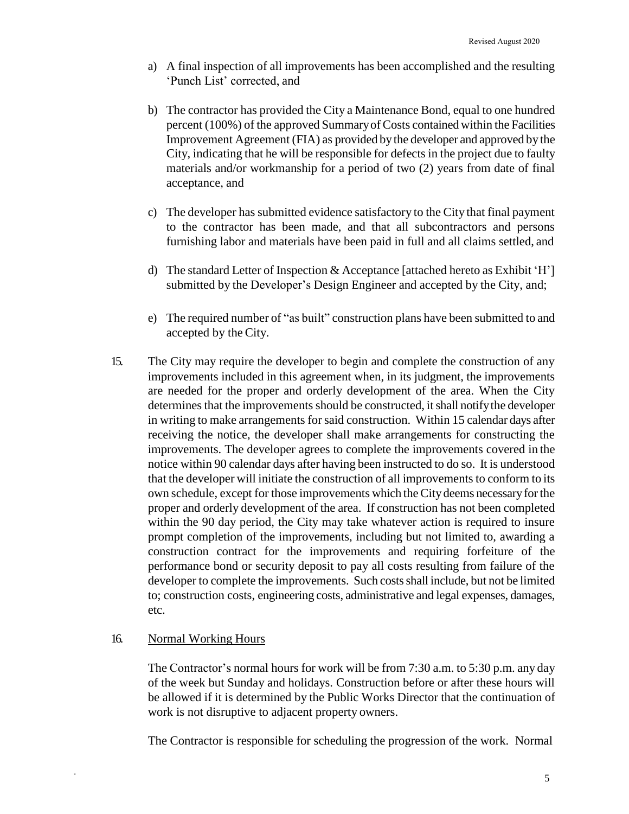- a) A final inspection of all improvements has been accomplished and the resulting 'Punch List' corrected, and
- b) The contractor has provided the City a Maintenance Bond, equal to one hundred percent (100%) of the approved SummaryofCosts contained within the Facilities Improvement Agreement (FIA) as provided bythe developer and approved by the City, indicating that he will be responsible for defects in the project due to faulty materials and/or workmanship for a period of two (2) years from date of final acceptance, and
- c) The developer has submitted evidence satisfactory to the City that final payment to the contractor has been made, and that all subcontractors and persons furnishing labor and materials have been paid in full and all claims settled, and
- d) The standard Letter of Inspection & Acceptance [attached hereto as Exhibit 'H'] submitted by the Developer's Design Engineer and accepted by the City, and;
- e) The required number of "as built" construction plans have been submitted to and accepted by the City.
- 15. The City may require the developer to begin and complete the construction of any improvements included in this agreement when, in its judgment, the improvements are needed for the proper and orderly development of the area. When the City determines that the improvements should be constructed, it shall notify the developer in writing to make arrangements forsaid construction. Within 15 calendar days after receiving the notice, the developer shall make arrangements for constructing the improvements. The developer agrees to complete the improvements covered in the notice within 90 calendar days after having been instructed to do so. It is understood that the developer will initiate the construction of all improvements to conform to its own schedule, except for those improvements which theCitydeems necessaryforthe proper and orderly development of the area. If construction has not been completed within the 90 day period, the City may take whatever action is required to insure prompt completion of the improvements, including but not limited to, awarding a construction contract for the improvements and requiring forfeiture of the performance bond or security deposit to pay all costs resulting from failure of the developer to complete the improvements. Such costs shall include, but not be limited to; construction costs, engineering costs, administrative and legal expenses, damages, etc.

# 16. Normal Working Hours

\*

The Contractor's normal hours for work will be from 7:30 a.m. to 5:30 p.m. any day of the week but Sunday and holidays. Construction before or after these hours will be allowed if it is determined by the Public Works Director that the continuation of work is not disruptive to adjacent property owners.

The Contractor is responsible for scheduling the progression of the work. Normal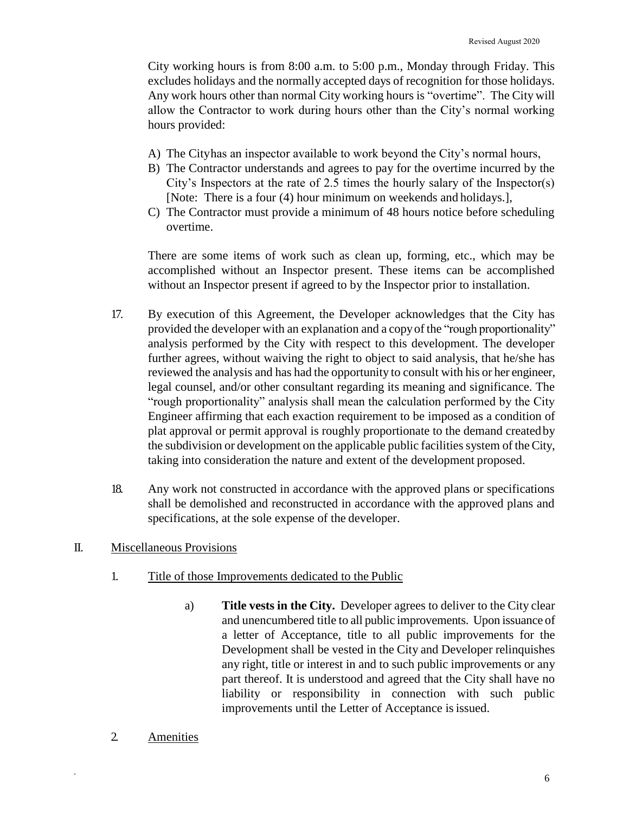City working hours is from 8:00 a.m. to 5:00 p.m., Monday through Friday. This excludes holidays and the normally accepted days of recognition for those holidays. Any work hours other than normal City working hours is "overtime". The City will allow the Contractor to work during hours other than the City's normal working hours provided:

- A) The City has an inspector available to work beyond the City's normal hours,
- B) The Contractor understands and agrees to pay for the overtime incurred by the City's Inspectors at the rate of 2.5 times the hourly salary of the Inspector(s) [Note: There is a four (4) hour minimum on weekends and holidays.],
- C) The Contractor must provide a minimum of 48 hours notice before scheduling overtime.

There are some items of work such as clean up, forming, etc., which may be accomplished without an Inspector present. These items can be accomplished without an Inspector present if agreed to by the Inspector prior to installation.

- 17. By execution of this Agreement, the Developer acknowledges that the City has provided the developer with an explanation and a copyof the "rough proportionality" analysis performed by the City with respect to this development. The developer further agrees, without waiving the right to object to said analysis, that he/she has reviewed the analysis and has had the opportunity to consult with his or her engineer, legal counsel, and/or other consultant regarding its meaning and significance. The "rough proportionality" analysis shall mean the calculation performed by the City Engineer affirming that each exaction requirement to be imposed as a condition of plat approval or permit approval is roughly proportionate to the demand createdby the subdivision or development on the applicable public facilities system of the City, taking into consideration the nature and extent of the development proposed.
- 18. Any work not constructed in accordance with the approved plans or specifications shall be demolished and reconstructed in accordance with the approved plans and specifications, at the sole expense of the developer.

## II. Miscellaneous Provisions

- 1. Title of those Improvements dedicated to the Public
	- a) **Title vests in the City.** Developer agrees to deliver to the City clear and unencumbered title to all public improvements. Upon issuance of a letter of Acceptance, title to all public improvements for the Development shall be vested in the City and Developer relinquishes any right, title or interest in and to such public improvements or any part thereof. It is understood and agreed that the City shall have no liability or responsibility in connection with such public improvements until the Letter of Acceptance is issued.
- 2. Amenities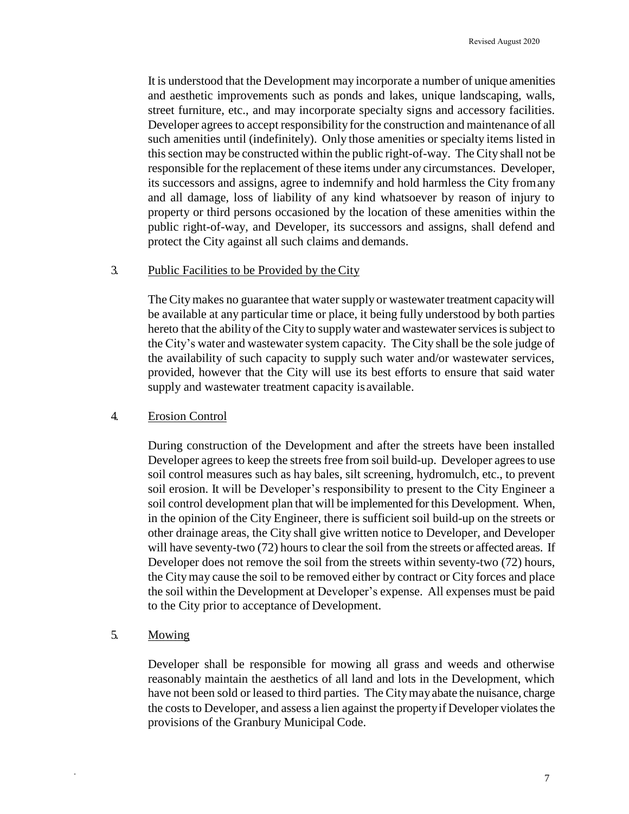It is understood that the Development may incorporate a number of unique amenities and aesthetic improvements such as ponds and lakes, unique landscaping, walls, street furniture, etc., and may incorporate specialty signs and accessory facilities. Developer agrees to accept responsibility for the construction and maintenance of all such amenities until (indefinitely). Only those amenities or specialty items listed in thissection may be constructed within the public right-of-way. The City shall not be responsible for the replacement of these items under any circumstances. Developer, its successors and assigns, agree to indemnify and hold harmless the City fromany and all damage, loss of liability of any kind whatsoever by reason of injury to property or third persons occasioned by the location of these amenities within the public right-of-way, and Developer, its successors and assigns, shall defend and protect the City against all such claims and demands.

#### 3. Public Facilities to be Provided by the City

The City makes no guarantee that water supply or wastewater treatment capacity will be available at any particular time or place, it being fully understood by both parties hereto that the ability of the City to supply water and wastewater services is subject to the City's water and wastewater system capacity. The City shall be the sole judge of the availability of such capacity to supply such water and/or wastewater services, provided, however that the City will use its best efforts to ensure that said water supply and wastewater treatment capacity is available.

#### 4. Erosion Control

During construction of the Development and after the streets have been installed Developer agrees to keep the streets free from soil build-up. Developer agrees to use soil control measures such as hay bales, silt screening, hydromulch, etc., to prevent soil erosion. It will be Developer's responsibility to present to the City Engineer a soil control development plan that will be implemented forthis Development. When, in the opinion of the City Engineer, there is sufficient soil build-up on the streets or other drainage areas, the City shall give written notice to Developer, and Developer will have seventy-two  $(72)$  hours to clear the soil from the streets or affected areas. If Developer does not remove the soil from the streets within seventy-two (72) hours, the Citymay cause the soil to be removed either by contract or City forces and place the soil within the Development at Developer's expense. All expenses must be paid to the City prior to acceptance of Development.

## 5. Mowing

\*

Developer shall be responsible for mowing all grass and weeds and otherwise reasonably maintain the aesthetics of all land and lots in the Development, which have not been sold or leased to third parties. The Citymayabate the nuisance, charge the costs to Developer, and assess a lien against the property if Developer violates the provisions of the Granbury Municipal Code.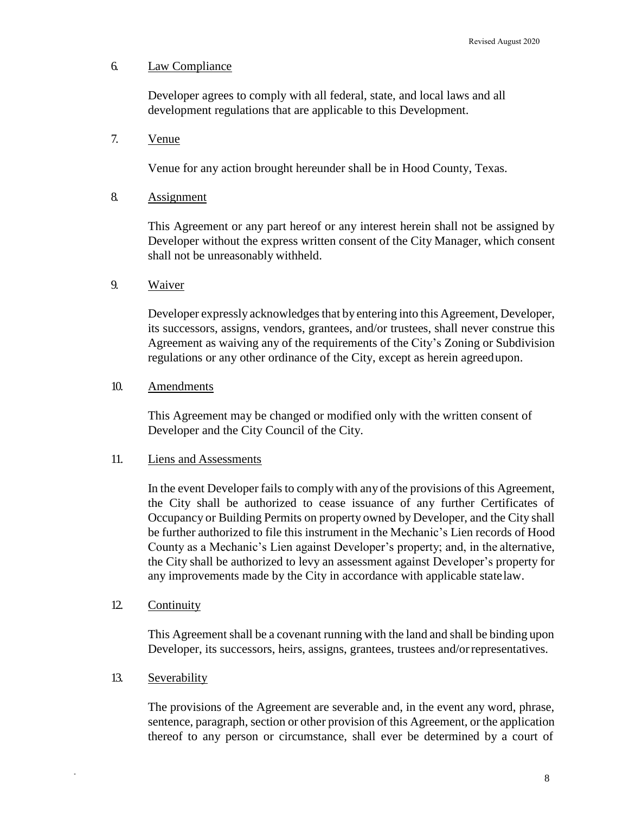## 6. Law Compliance

Developer agrees to comply with all federal, state, and local laws and all development regulations that are applicable to this Development.

#### 7. Venue

Venue for any action brought hereunder shall be in Hood County, Texas.

#### 8. Assignment

This Agreement or any part hereof or any interest herein shall not be assigned by Developer without the express written consent of the City Manager, which consent shall not be unreasonably withheld.

#### 9. Waiver

Developer expressly acknowledges that by entering into this Agreement, Developer, its successors, assigns, vendors, grantees, and/or trustees, shall never construe this Agreement as waiving any of the requirements of the City's Zoning or Subdivision regulations or any other ordinance of the City, except as herein agreedupon.

#### 10. Amendments

This Agreement may be changed or modified only with the written consent of Developer and the City Council of the City.

#### 11. Liens and Assessments

In the event Developer fails to comply with any of the provisions of this Agreement, the City shall be authorized to cease issuance of any further Certificates of Occupancy or Building Permits on property owned by Developer, and the City shall be further authorized to file this instrument in the Mechanic's Lien records of Hood County as a Mechanic's Lien against Developer's property; and, in the alternative, the City shall be authorized to levy an assessment against Developer's property for any improvements made by the City in accordance with applicable statelaw.

#### 12. Continuity

This Agreement shall be a covenant running with the land and shall be binding upon Developer, its successors, heirs, assigns, grantees, trustees and/orrepresentatives.

#### 13. Severability

\*

The provisions of the Agreement are severable and, in the event any word, phrase, sentence, paragraph, section or other provision of this Agreement, or the application thereof to any person or circumstance, shall ever be determined by a court of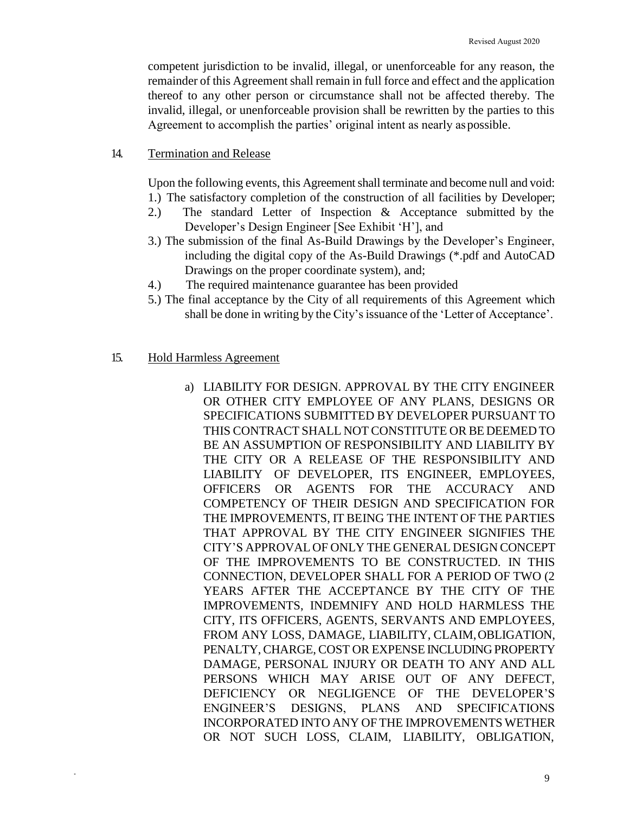competent jurisdiction to be invalid, illegal, or unenforceable for any reason, the remainder of this Agreement shall remain in full force and effect and the application thereof to any other person or circumstance shall not be affected thereby. The invalid, illegal, or unenforceable provision shall be rewritten by the parties to this Agreement to accomplish the parties' original intent as nearly aspossible.

#### 14. Termination and Release

Upon the following events, this Agreement shall terminate and become null and void:

- 1.) The satisfactory completion of the construction of all facilities by Developer; 2.) The standard Letter of Inspection & Acceptance submitted by the
- Developer's Design Engineer [See Exhibit 'H'], and
- 3.) The submission of the final As-Build Drawings by the Developer's Engineer, including the digital copy of the As-Build Drawings (\*.pdf and AutoCAD Drawings on the proper coordinate system), and;
- 4.) The required maintenance guarantee has been provided
- 5.) The final acceptance by the City of all requirements of this Agreement which shall be done in writing by the City's issuance of the 'Letter of Acceptance'.

#### 15. Hold Harmless Agreement

\*

a) LIABILITY FOR DESIGN. APPROVAL BY THE CITY ENGINEER OR OTHER CITY EMPLOYEE OF ANY PLANS, DESIGNS OR SPECIFICATIONS SUBMITTED BY DEVELOPER PURSUANT TO THIS CONTRACT SHALL NOT CONSTITUTE OR BE DEEMED TO BE AN ASSUMPTION OF RESPONSIBILITY AND LIABILITY BY THE CITY OR A RELEASE OF THE RESPONSIBILITY AND LIABILITY OF DEVELOPER, ITS ENGINEER, EMPLOYEES, OFFICERS OR AGENTS FOR THE ACCURACY AND COMPETENCY OF THEIR DESIGN AND SPECIFICATION FOR THE IMPROVEMENTS, IT BEING THE INTENT OF THE PARTIES THAT APPROVAL BY THE CITY ENGINEER SIGNIFIES THE CITY'S APPROVAL OF ONLY THE GENERAL DESIGN CONCEPT OF THE IMPROVEMENTS TO BE CONSTRUCTED. IN THIS CONNECTION, DEVELOPER SHALL FOR A PERIOD OF TWO (2 YEARS AFTER THE ACCEPTANCE BY THE CITY OF THE IMPROVEMENTS, INDEMNIFY AND HOLD HARMLESS THE CITY, ITS OFFICERS, AGENTS, SERVANTS AND EMPLOYEES, FROM ANY LOSS, DAMAGE, LIABILITY, CLAIM,OBLIGATION, PENALTY, CHARGE, COST OR EXPENSE INCLUDING PROPERTY DAMAGE, PERSONAL INJURY OR DEATH TO ANY AND ALL PERSONS WHICH MAY ARISE OUT OF ANY DEFECT, DEFICIENCY OR NEGLIGENCE OF THE DEVELOPER'S ENGINEER'S DESIGNS, PLANS AND SPECIFICATIONS INCORPORATED INTO ANY OF THE IMPROVEMENTS WETHER OR NOT SUCH LOSS, CLAIM, LIABILITY, OBLIGATION,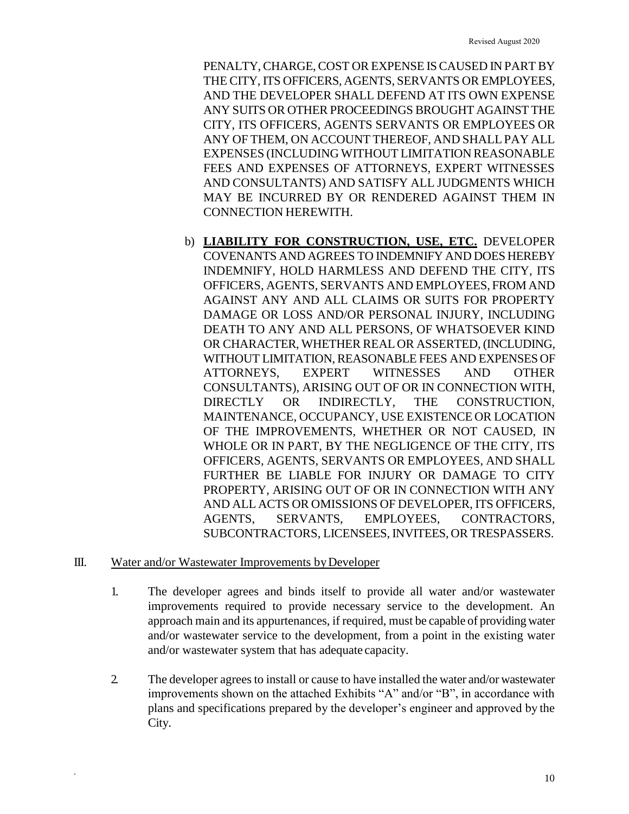PENALTY, CHARGE, COST OR EXPENSE IS CAUSED IN PART BY THE CITY, ITS OFFICERS, AGENTS, SERVANTS OR EMPLOYEES, AND THE DEVELOPER SHALL DEFEND AT ITS OWN EXPENSE ANY SUITS OR OTHER PROCEEDINGS BROUGHT AGAINST THE CITY, ITS OFFICERS, AGENTS SERVANTS OR EMPLOYEES OR ANY OF THEM, ON ACCOUNT THEREOF, AND SHALLPAY ALL EXPENSES (INCLUDING WITHOUT LIMITATION REASONABLE FEES AND EXPENSES OF ATTORNEYS, EXPERT WITNESSES AND CONSULTANTS) AND SATISFY ALL JUDGMENTS WHICH MAY BE INCURRED BY OR RENDERED AGAINST THEM IN CONNECTION HEREWITH.

b) **LIABILITY FOR CONSTRUCTION, USE, ETC.** DEVELOPER COVENANTS AND AGREES TO INDEMNIFY AND DOES HEREBY INDEMNIFY, HOLD HARMLESS AND DEFEND THE CITY, ITS OFFICERS, AGENTS, SERVANTS AND EMPLOYEES, FROM AND AGAINST ANY AND ALL CLAIMS OR SUITS FOR PROPERTY DAMAGE OR LOSS AND/OR PERSONAL INJURY, INCLUDING DEATH TO ANY AND ALL PERSONS, OF WHATSOEVER KIND OR CHARACTER, WHETHER REAL OR ASSERTED, (INCLUDING, WITHOUT LIMITATION, REASONABLE FEES AND EXPENSES OF ATTORNEYS, EXPERT WITNESSES AND OTHER CONSULTANTS), ARISING OUT OF OR IN CONNECTION WITH, DIRECTLY OR INDIRECTLY, THE CONSTRUCTION, MAINTENANCE, OCCUPANCY, USE EXISTENCE OR LOCATION OF THE IMPROVEMENTS, WHETHER OR NOT CAUSED, IN WHOLE OR IN PART, BY THE NEGLIGENCE OF THE CITY, ITS OFFICERS, AGENTS, SERVANTS OR EMPLOYEES, AND SHALL FURTHER BE LIABLE FOR INJURY OR DAMAGE TO CITY PROPERTY, ARISING OUT OF OR IN CONNECTION WITH ANY AND ALL ACTS OR OMISSIONS OF DEVELOPER, ITS OFFICERS, AGENTS, SERVANTS, EMPLOYEES, CONTRACTORS, SUBCONTRACTORS, LICENSEES, INVITEES, OR TRESPASSERS.

#### III. Water and/or Wastewater Improvements byDeveloper

- 1. The developer agrees and binds itself to provide all water and/or wastewater improvements required to provide necessary service to the development. An approach main and its appurtenances, if required, must be capable of providing water and/or wastewater service to the development, from a point in the existing water and/or wastewater system that has adequate capacity.
- 2. The developer agreesto install or cause to have installed the water and/or wastewater improvements shown on the attached Exhibits "A" and/or "B", in accordance with plans and specifications prepared by the developer's engineer and approved by the City.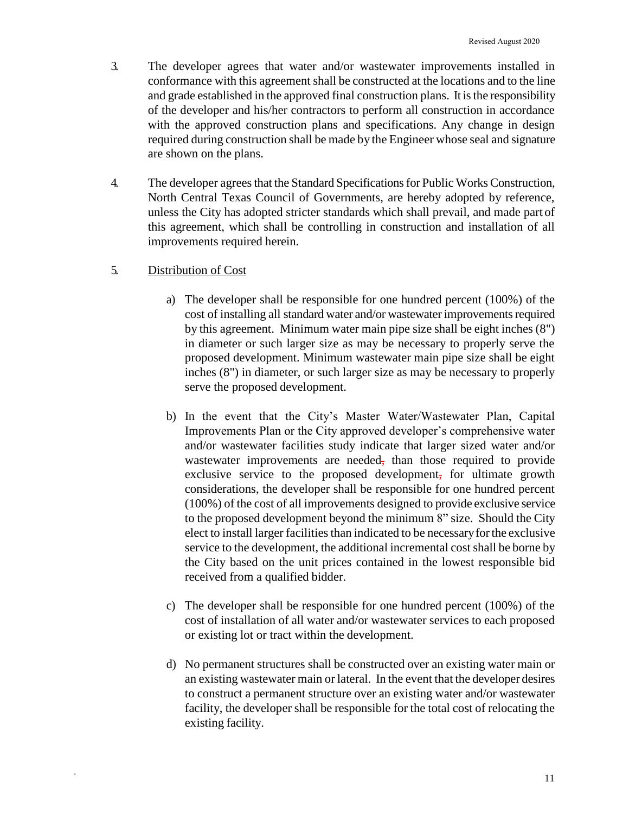- 3. The developer agrees that water and/or wastewater improvements installed in conformance with this agreement shall be constructed at the locations and to the line and grade established in the approved final construction plans. It is the responsibility of the developer and his/her contractors to perform all construction in accordance with the approved construction plans and specifications. Any change in design required during construction shall be made by the Engineer whose seal and signature are shown on the plans.
- 4. The developer agreesthat the Standard Specificationsfor Public Works Construction, North Central Texas Council of Governments, are hereby adopted by reference, unless the City has adopted stricter standards which shall prevail, and made part of this agreement, which shall be controlling in construction and installation of all improvements required herein.

## 5. Distribution of Cost

- a) The developer shall be responsible for one hundred percent (100%) of the cost of installing all standard water and/or wastewater improvements required by this agreement. Minimum water main pipe size shall be eight inches (8") in diameter or such larger size as may be necessary to properly serve the proposed development. Minimum wastewater main pipe size shall be eight inches (8") in diameter, or such larger size as may be necessary to properly serve the proposed development.
- b) In the event that the City's Master Water/Wastewater Plan, Capital Improvements Plan or the City approved developer's comprehensive water and/or wastewater facilities study indicate that larger sized water and/or wastewater improvements are needed, than those required to provide exclusive service to the proposed development, for ultimate growth considerations, the developer shall be responsible for one hundred percent (100%) of the cost of all improvements designed to provide exclusive service to the proposed development beyond the minimum 8" size. Should the City elect to install larger facilitiesthan indicated to be necessaryforthe exclusive service to the development, the additional incremental cost shall be borne by the City based on the unit prices contained in the lowest responsible bid received from a qualified bidder.
- c) The developer shall be responsible for one hundred percent (100%) of the cost of installation of all water and/or wastewater services to each proposed or existing lot or tract within the development.
- d) No permanent structures shall be constructed over an existing water main or an existing wastewater main or lateral. In the event that the developer desires to construct a permanent structure over an existing water and/or wastewater facility, the developer shall be responsible for the total cost of relocating the existing facility.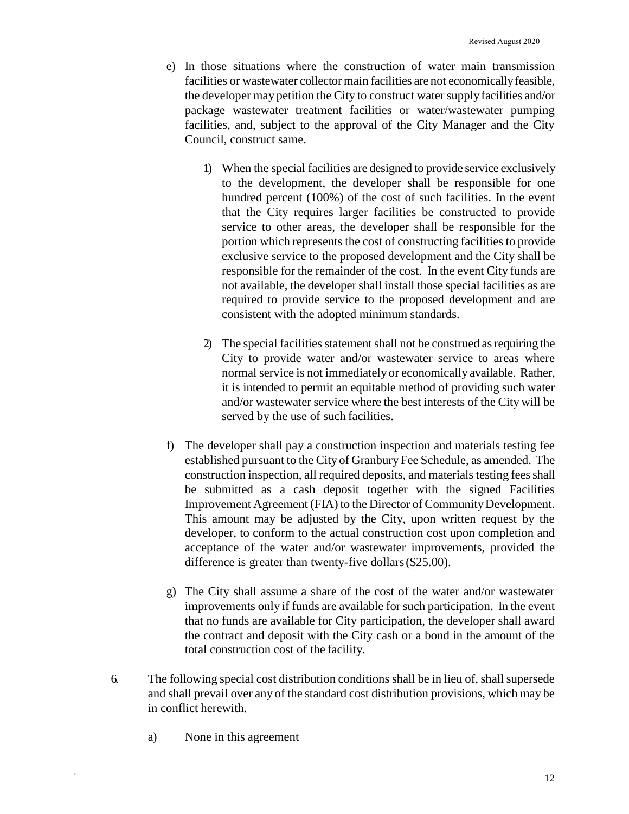- e) In those situations where the construction of water main transmission facilities or wastewater collector main facilities are not economicallyfeasible, the developer may petition the City to construct water supply facilities and/or package wastewater treatment facilities or water/wastewater pumping facilities, and, subject to the approval of the City Manager and the City Council, construct same.
	- 1) When the special facilities are designed to provide service exclusively to the development, the developer shall be responsible for one hundred percent (100%) of the cost of such facilities. In the event that the City requires larger facilities be constructed to provide service to other areas, the developer shall be responsible for the portion which represents the cost of constructing facilities to provide exclusive service to the proposed development and the City shall be responsible for the remainder of the cost. In the event City funds are not available, the developershall install those special facilities as are required to provide service to the proposed development and are consistent with the adopted minimum standards.
	- 2) The special facilities statement shall not be construed as requiring the City to provide water and/or wastewater service to areas where normal service is not immediately or economically available. Rather, it is intended to permit an equitable method of providing such water and/or wastewater service where the best interests of the City will be served by the use of such facilities.
- f) The developer shall pay a construction inspection and materials testing fee established pursuant to the City of Granbury Fee Schedule, as amended. The construction inspection, all required deposits, and materials testing fees shall be submitted as a cash deposit together with the signed Facilities Improvement Agreement (FIA) to the Director of Community Development. This amount may be adjusted by the City, upon written request by the developer, to conform to the actual construction cost upon completion and acceptance of the water and/or wastewater improvements, provided the difference is greater than twenty-five dollars(\$25.00).
- g) The City shall assume a share of the cost of the water and/or wastewater improvements only if funds are available for such participation. In the event that no funds are available for City participation, the developer shall award the contract and deposit with the City cash or a bond in the amount of the total construction cost of the facility.
- 6. The following special cost distribution conditions shall be in lieu of, shallsupersede and shall prevail over any of the standard cost distribution provisions, which may be in conflict herewith.
	- a) None in this agreement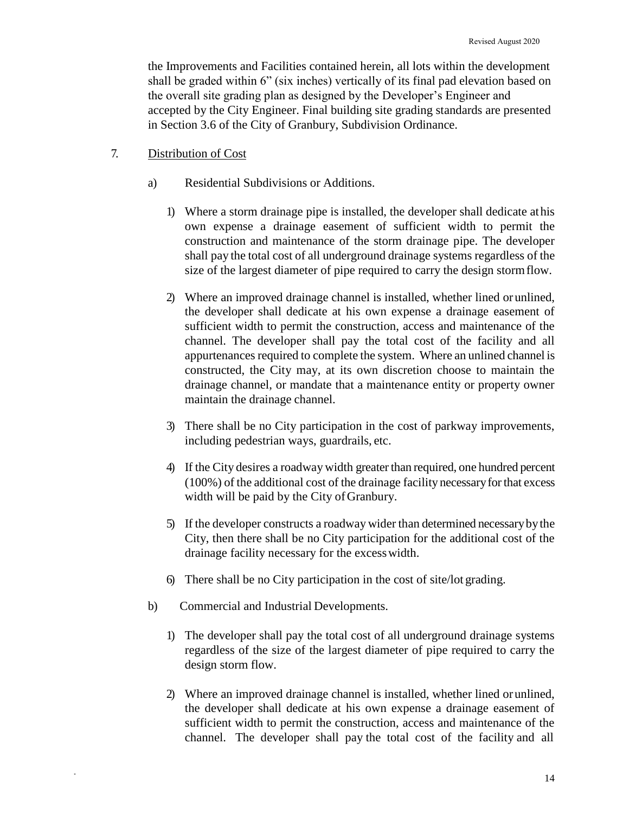the Improvements and Facilities contained herein, all lots within the development shall be graded within 6" (six inches) vertically of its final pad elevation based on the overall site grading plan as designed by the Developer's Engineer and accepted by the City Engineer. Final building site grading standards are presented in Section 3.6 of the City of Granbury, Subdivision Ordinance.

- 7. Distribution of Cost
	- a) Residential Subdivisions or Additions.
		- 1) Where a storm drainage pipe is installed, the developer shall dedicate athis own expense a drainage easement of sufficient width to permit the construction and maintenance of the storm drainage pipe. The developer shall pay the total cost of all underground drainage systems regardless of the size of the largest diameter of pipe required to carry the design stormflow.
		- 2) Where an improved drainage channel is installed, whether lined orunlined, the developer shall dedicate at his own expense a drainage easement of sufficient width to permit the construction, access and maintenance of the channel. The developer shall pay the total cost of the facility and all appurtenances required to complete the system. Where an unlined channel is constructed, the City may, at its own discretion choose to maintain the drainage channel, or mandate that a maintenance entity or property owner maintain the drainage channel.
		- 3) There shall be no City participation in the cost of parkway improvements, including pedestrian ways, guardrails, etc.
		- 4) If the City desires a roadway width greater than required, one hundred percent (100%) of the additional cost of the drainage facility necessaryforthat excess width will be paid by the City of Granbury.
		- 5) If the developer constructs a roadway wider than determined necessarybythe City, then there shall be no City participation for the additional cost of the drainage facility necessary for the excesswidth.
		- 6) There shall be no City participation in the cost of site/lot grading.
	- b) Commercial and Industrial Developments.

- 1) The developer shall pay the total cost of all underground drainage systems regardless of the size of the largest diameter of pipe required to carry the design storm flow.
- 2) Where an improved drainage channel is installed, whether lined orunlined, the developer shall dedicate at his own expense a drainage easement of sufficient width to permit the construction, access and maintenance of the channel. The developer shall pay the total cost of the facility and all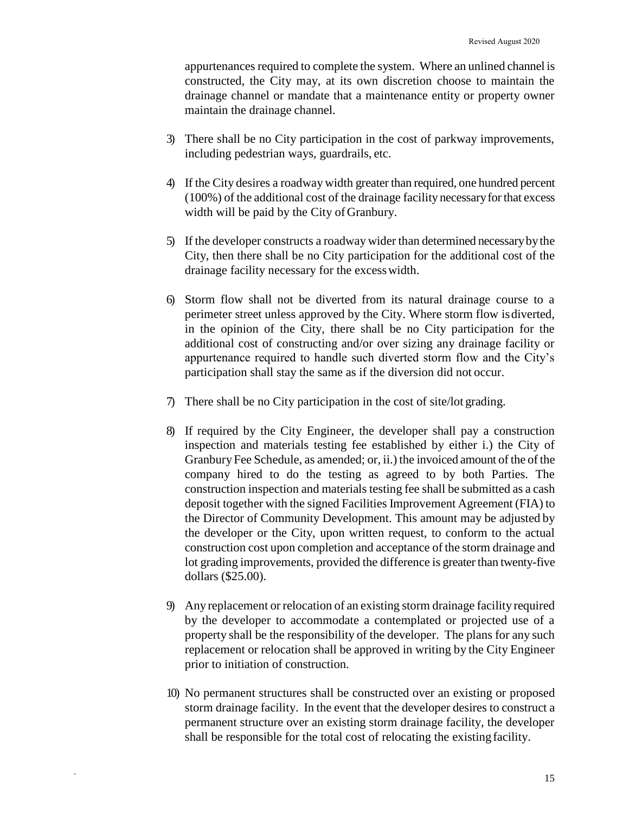appurtenances required to complete the system. Where an unlined channel is constructed, the City may, at its own discretion choose to maintain the drainage channel or mandate that a maintenance entity or property owner maintain the drainage channel.

- 3) There shall be no City participation in the cost of parkway improvements, including pedestrian ways, guardrails, etc.
- 4) If the City desires a roadway width greater than required, one hundred percent (100%) of the additional cost of the drainage facility necessaryforthat excess width will be paid by the City of Granbury.
- 5) If the developer constructs a roadway wider than determined necessarybythe City, then there shall be no City participation for the additional cost of the drainage facility necessary for the excesswidth.
- 6) Storm flow shall not be diverted from its natural drainage course to a perimeter street unless approved by the City. Where storm flow isdiverted, in the opinion of the City, there shall be no City participation for the additional cost of constructing and/or over sizing any drainage facility or appurtenance required to handle such diverted storm flow and the City's participation shall stay the same as if the diversion did not occur.
- 7) There shall be no City participation in the cost of site/lot grading.
- 8) If required by the City Engineer, the developer shall pay a construction inspection and materials testing fee established by either i.) the City of Granbury Fee Schedule, as amended; or, ii.) the invoiced amount of the of the company hired to do the testing as agreed to by both Parties. The construction inspection and materials testing fee shall be submitted as a cash deposit together with the signed Facilities Improvement Agreement (FIA) to the Director of Community Development. This amount may be adjusted by the developer or the City, upon written request, to conform to the actual construction cost upon completion and acceptance of the storm drainage and lot grading improvements, provided the difference is greater than twenty-five dollars (\$25.00).
- 9) Any replacement or relocation of an existing storm drainage facility required by the developer to accommodate a contemplated or projected use of a property shall be the responsibility of the developer. The plans for any such replacement or relocation shall be approved in writing by the City Engineer prior to initiation of construction.
- 10) No permanent structures shall be constructed over an existing or proposed storm drainage facility. In the event that the developer desires to construct a permanent structure over an existing storm drainage facility, the developer shall be responsible for the total cost of relocating the existing facility.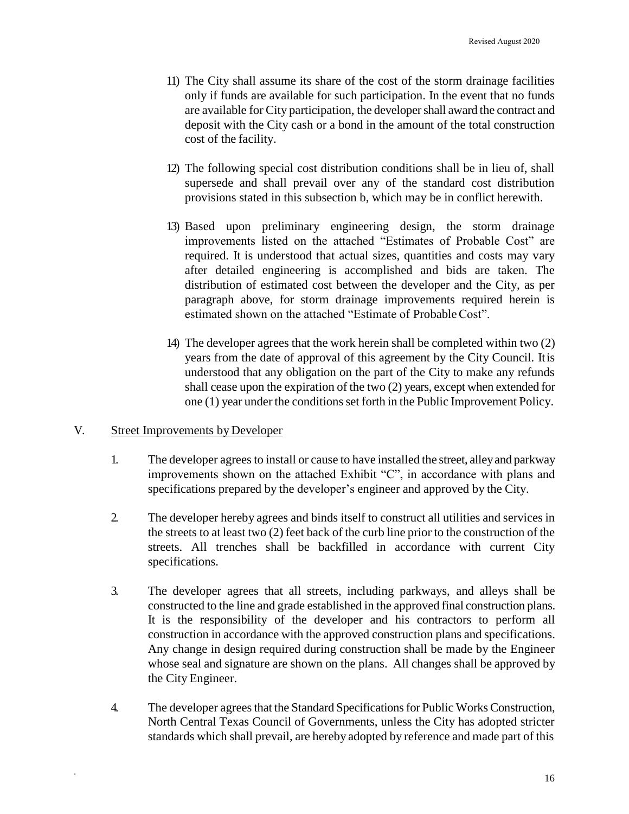- 11) The City shall assume its share of the cost of the storm drainage facilities only if funds are available for such participation. In the event that no funds are available for City participation, the developershall award the contract and deposit with the City cash or a bond in the amount of the total construction cost of the facility.
- 12) The following special cost distribution conditions shall be in lieu of, shall supersede and shall prevail over any of the standard cost distribution provisions stated in this subsection b, which may be in conflict herewith.
- 13) Based upon preliminary engineering design, the storm drainage improvements listed on the attached "Estimates of Probable Cost" are required. It is understood that actual sizes, quantities and costs may vary after detailed engineering is accomplished and bids are taken. The distribution of estimated cost between the developer and the City, as per paragraph above, for storm drainage improvements required herein is estimated shown on the attached "Estimate of ProbableCost".
- 14) The developer agrees that the work herein shall be completed within two (2) years from the date of approval of this agreement by the City Council. Itis understood that any obligation on the part of the City to make any refunds shall cease upon the expiration of the two (2) years, except when extended for one (1) year under the conditions set forth in the Public Improvement Policy.

#### V. Street Improvements by Developer

- 1. The developer agreesto install or cause to have installed the street, alleyand parkway improvements shown on the attached Exhibit "C", in accordance with plans and specifications prepared by the developer's engineer and approved by the City.
- 2. The developer hereby agrees and binds itself to construct all utilities and services in the streets to at least two (2) feet back of the curb line prior to the construction of the streets. All trenches shall be backfilled in accordance with current City specifications.
- 3. The developer agrees that all streets, including parkways, and alleys shall be constructed to the line and grade established in the approved final construction plans. It is the responsibility of the developer and his contractors to perform all construction in accordance with the approved construction plans and specifications. Any change in design required during construction shall be made by the Engineer whose seal and signature are shown on the plans. All changes shall be approved by the City Engineer.
- 4. The developer agrees that the Standard Specifications for Public Works Construction, North Central Texas Council of Governments, unless the City has adopted stricter standards which shall prevail, are hereby adopted by reference and made part of this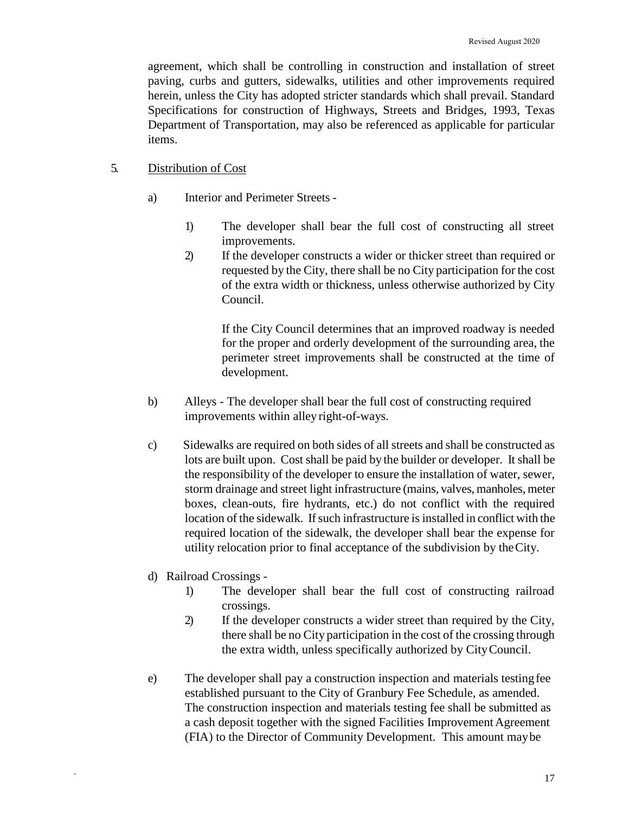agreement, which shall be controlling in construction and installation of street paving, curbs and gutters, sidewalks, utilities and other improvements required herein, unless the City has adopted stricter standards which shall prevail. Standard Specifications for construction of Highways, Streets and Bridges, 1993, Texas Department of Transportation, may also be referenced as applicable for particular items.

## 5. Distribution of Cost

- a) Interior and Perimeter Streets
	- 1) The developer shall bear the full cost of constructing all street improvements.
	- 2) If the developer constructs a wider or thicker street than required or requested by the City, there shall be no City participation for the cost of the extra width or thickness, unless otherwise authorized by City Council.

If the City Council determines that an improved roadway is needed for the proper and orderly development of the surrounding area, the perimeter street improvements shall be constructed at the time of development.

- b) Alleys The developer shall bear the full cost of constructing required improvements within alley right-of-ways.
- c) Sidewalks are required on both sides of all streets and shall be constructed as lots are built upon. Cost shall be paid by the builder or developer. It shall be the responsibility of the developer to ensure the installation of water, sewer, storm drainage and street light infrastructure (mains, valves, manholes, meter boxes, clean-outs, fire hydrants, etc.) do not conflict with the required location of the sidewalk. If such infrastructure is installed in conflict with the required location of the sidewalk, the developer shall bear the expense for utility relocation prior to final acceptance of the subdivision by theCity.
- d) Railroad Crossings -

- 1) The developer shall bear the full cost of constructing railroad crossings.
- 2) If the developer constructs a wider street than required by the City, there shall be no City participation in the cost of the crossing through the extra width, unless specifically authorized by CityCouncil.
- e) The developer shall pay a construction inspection and materials testingfee established pursuant to the City of Granbury Fee Schedule, as amended. The construction inspection and materials testing fee shall be submitted as a cash deposit together with the signed Facilities Improvement Agreement (FIA) to the Director of Community Development. This amount maybe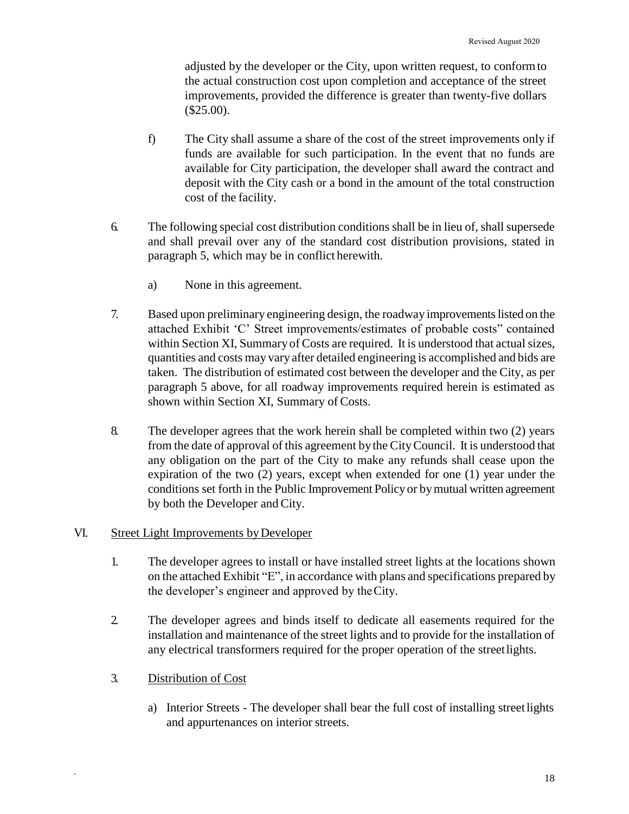adjusted by the developer or the City, upon written request, to conformto the actual construction cost upon completion and acceptance of the street improvements, provided the difference is greater than twenty-five dollars (\$25.00).

- f) The City shall assume a share of the cost of the street improvements only if funds are available for such participation. In the event that no funds are available for City participation, the developer shall award the contract and deposit with the City cash or a bond in the amount of the total construction cost of the facility.
- 6. The following special cost distribution conditions shall be in lieu of, shallsupersede and shall prevail over any of the standard cost distribution provisions, stated in paragraph 5, which may be in conflict herewith.
	- a) None in this agreement.
- 7. Based upon preliminary engineering design, the roadway improvementslisted on the attached Exhibit 'C' Street improvements/estimates of probable costs" contained within Section XI, Summary of Costs are required. It is understood that actual sizes, quantities and costs may vary after detailed engineering is accomplished and bids are taken. The distribution of estimated cost between the developer and the City, as per paragraph 5 above, for all roadway improvements required herein is estimated as shown within Section XI, Summary of Costs.
- 8. The developer agrees that the work herein shall be completed within two (2) years from the date of approval of this agreement by the CityCouncil. It is understood that any obligation on the part of the City to make any refunds shall cease upon the expiration of the two (2) years, except when extended for one (1) year under the conditions set forth in the Public Improvement Policyor bymutual written agreement by both the Developer and City.

## VI. Street Light Improvements byDeveloper

- 1. The developer agrees to install or have installed street lights at the locations shown on the attached Exhibit "E", in accordance with plans and specifications prepared by the developer's engineer and approved by theCity.
- 2. The developer agrees and binds itself to dedicate all easements required for the installation and maintenance of the street lights and to provide for the installation of any electrical transformers required for the proper operation of the streetlights.
- 3. Distribution of Cost

\*

a) Interior Streets - The developer shall bear the full cost of installing streetlights and appurtenances on interior streets.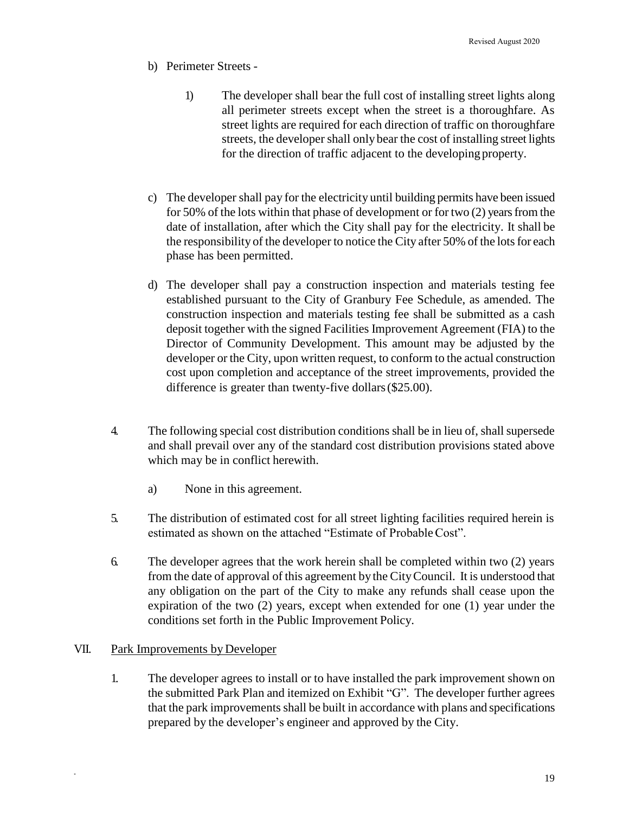- b) Perimeter Streets
	- 1) The developer shall bear the full cost of installing street lights along all perimeter streets except when the street is a thoroughfare. As street lights are required for each direction of traffic on thoroughfare streets, the developer shall only bear the cost of installing street lights for the direction of traffic adjacent to the developing property.
- c) The developer shall pay for the electricity until building permits have been issued for 50% of the lots within that phase of development or for two  $(2)$  years from the date of installation, after which the City shall pay for the electricity. It shall be the responsibility of the developer to notice the City after 50% of the lots for each phase has been permitted.
- d) The developer shall pay a construction inspection and materials testing fee established pursuant to the City of Granbury Fee Schedule, as amended. The construction inspection and materials testing fee shall be submitted as a cash deposit together with the signed Facilities Improvement Agreement (FIA) to the Director of Community Development. This amount may be adjusted by the developer or the City, upon written request, to conform to the actual construction cost upon completion and acceptance of the street improvements, provided the difference is greater than twenty-five dollars(\$25.00).
- 4. The following special cost distribution conditions shall be in lieu of, shallsupersede and shall prevail over any of the standard cost distribution provisions stated above which may be in conflict herewith.
	- a) None in this agreement.
- 5. The distribution of estimated cost for all street lighting facilities required herein is estimated as shown on the attached "Estimate of ProbableCost".
- 6. The developer agrees that the work herein shall be completed within two (2) years from the date of approval of this agreement by the CityCouncil. It is understood that any obligation on the part of the City to make any refunds shall cease upon the expiration of the two (2) years, except when extended for one (1) year under the conditions set forth in the Public Improvement Policy.

# VII. Park Improvements by Developer

\*

1. The developer agrees to install or to have installed the park improvement shown on the submitted Park Plan and itemized on Exhibit "G". The developer further agrees that the park improvements shall be built in accordance with plans and specifications prepared by the developer's engineer and approved by the City.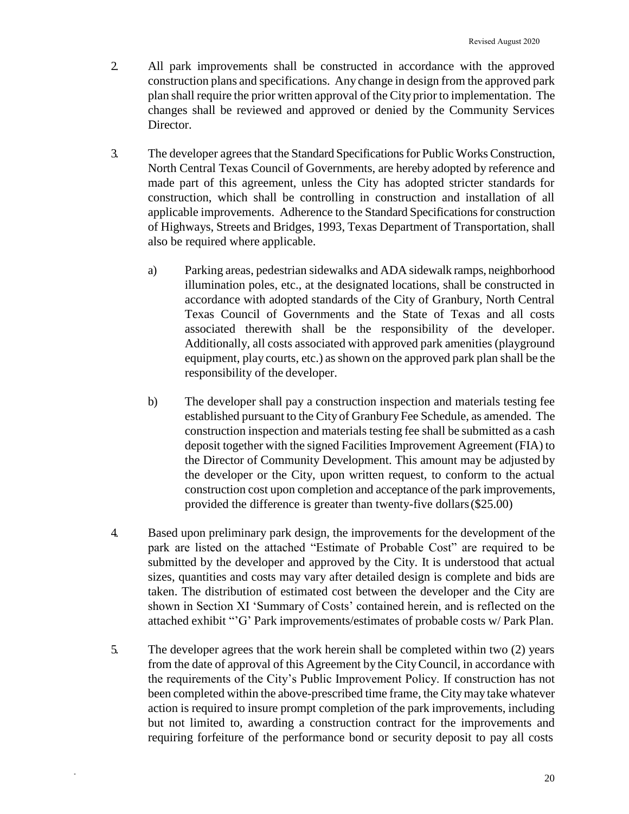- 2. All park improvements shall be constructed in accordance with the approved construction plans and specifications. Any change in design from the approved park plan shall require the prior written approval of the City prior to implementation. The changes shall be reviewed and approved or denied by the Community Services Director.
- 3. The developer agrees that the Standard Specifications for Public Works Construction, North Central Texas Council of Governments, are hereby adopted by reference and made part of this agreement, unless the City has adopted stricter standards for construction, which shall be controlling in construction and installation of all applicable improvements. Adherence to the Standard Specifications for construction of Highways, Streets and Bridges, 1993, Texas Department of Transportation, shall also be required where applicable.
	- a) Parking areas, pedestrian sidewalks and ADA sidewalk ramps, neighborhood illumination poles, etc., at the designated locations, shall be constructed in accordance with adopted standards of the City of Granbury, North Central Texas Council of Governments and the State of Texas and all costs associated therewith shall be the responsibility of the developer. Additionally, all costs associated with approved park amenities (playground equipment, play courts, etc.) as shown on the approved park plan shall be the responsibility of the developer.
	- b) The developer shall pay a construction inspection and materials testing fee established pursuant to the City of Granbury Fee Schedule, as amended. The construction inspection and materials testing fee shall be submitted as a cash deposit together with the signed Facilities Improvement Agreement (FIA) to the Director of Community Development. This amount may be adjusted by the developer or the City, upon written request, to conform to the actual construction cost upon completion and acceptance of the park improvements, provided the difference is greater than twenty-five dollars(\$25.00)
- 4. Based upon preliminary park design, the improvements for the development of the park are listed on the attached "Estimate of Probable Cost" are required to be submitted by the developer and approved by the City. It is understood that actual sizes, quantities and costs may vary after detailed design is complete and bids are taken. The distribution of estimated cost between the developer and the City are shown in Section XI 'Summary of Costs' contained herein, and is reflected on the attached exhibit "'G' Park improvements/estimates of probable costs w/ Park Plan.
- 5. The developer agrees that the work herein shall be completed within two (2) years from the date of approval of this Agreement by the CityCouncil, in accordance with the requirements of the City's Public Improvement Policy. If construction has not been completed within the above-prescribed time frame, the Citymay take whatever action is required to insure prompt completion of the park improvements, including but not limited to, awarding a construction contract for the improvements and requiring forfeiture of the performance bond or security deposit to pay all costs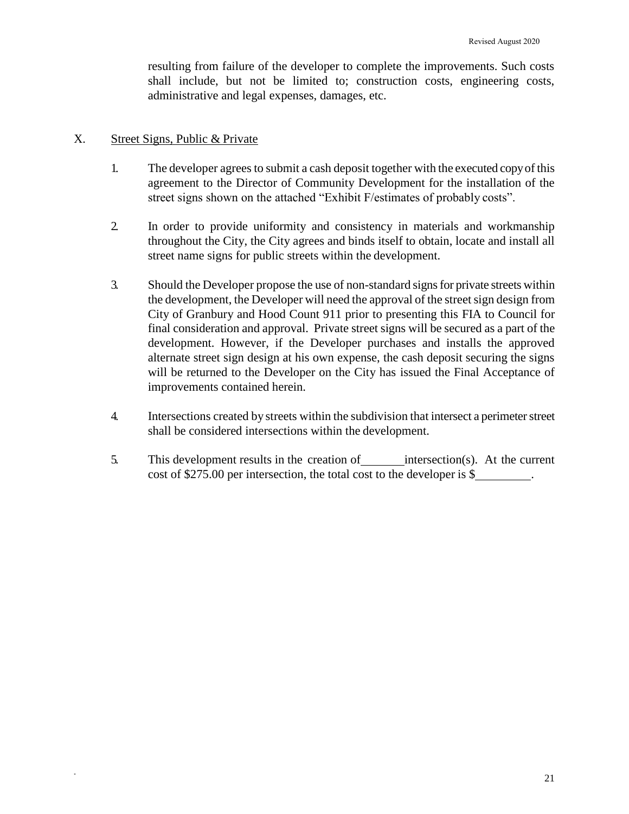resulting from failure of the developer to complete the improvements. Such costs shall include, but not be limited to; construction costs, engineering costs, administrative and legal expenses, damages, etc.

## X. Street Signs, Public & Private

- 1. The developer agrees to submit a cash deposit together with the executed copy of this agreement to the Director of Community Development for the installation of the street signs shown on the attached "Exhibit F/estimates of probably costs".
- 2. In order to provide uniformity and consistency in materials and workmanship throughout the City, the City agrees and binds itself to obtain, locate and install all street name signs for public streets within the development.
- 3. Should the Developer propose the use of non-standard signsfor private streets within the development, the Developer will need the approval of the street sign design from City of Granbury and Hood Count 911 prior to presenting this FIA to Council for final consideration and approval. Private street signs will be secured as a part of the development. However, if the Developer purchases and installs the approved alternate street sign design at his own expense, the cash deposit securing the signs will be returned to the Developer on the City has issued the Final Acceptance of improvements contained herein.
- 4. Intersections created by streets within the subdivision that intersect a perimeterstreet shall be considered intersections within the development.
- 5. This development results in the creation of intersection(s). At the current cost of \$275.00 per intersection, the total cost to the developer is \$ .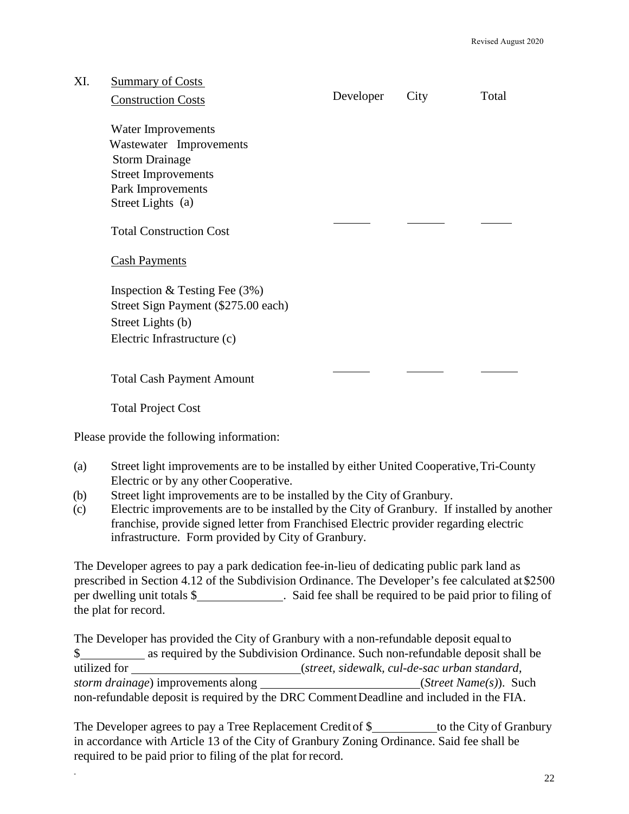| XI. | <b>Summary of Costs</b>                                                                                                         |           |      |       |
|-----|---------------------------------------------------------------------------------------------------------------------------------|-----------|------|-------|
|     | <b>Construction Costs</b>                                                                                                       | Developer | City | Total |
|     | Water Improvements                                                                                                              |           |      |       |
|     | Wastewater Improvements                                                                                                         |           |      |       |
|     | <b>Storm Drainage</b>                                                                                                           |           |      |       |
|     | <b>Street Improvements</b>                                                                                                      |           |      |       |
|     | Park Improvements                                                                                                               |           |      |       |
|     | Street Lights (a)                                                                                                               |           |      |       |
|     | <b>Total Construction Cost</b>                                                                                                  |           |      |       |
|     | <b>Cash Payments</b>                                                                                                            |           |      |       |
|     | Inspection & Testing Fee $(3%)$                                                                                                 |           |      |       |
|     | Street Sign Payment (\$275.00 each)                                                                                             |           |      |       |
|     | Street Lights (b)                                                                                                               |           |      |       |
|     | Electric Infrastructure (c)                                                                                                     |           |      |       |
|     |                                                                                                                                 |           |      |       |
|     | <b>Total Cash Payment Amount</b>                                                                                                |           |      |       |
|     |                                                                                                                                 |           |      |       |
|     | <b>Total Project Cost</b>                                                                                                       |           |      |       |
|     | Please provide the following information:                                                                                       |           |      |       |
| (a) | Street light improvements are to be installed by either United Cooperative, Tri-County<br>Electric or by any other Cooperative. |           |      |       |

(b) Street light improvements are to be installed by the City of Granbury.

\*

(c) Electric improvements are to be installed by the City of Granbury. If installed by another franchise, provide signed letter from Franchised Electric provider regarding electric infrastructure. Form provided by City of Granbury.

The Developer agrees to pay a park dedication fee-in-lieu of dedicating public park land as prescribed in Section 4.12 of the Subdivision Ordinance. The Developer's fee calculated at \$2500 per dwelling unit totals \$ . Said fee shall be required to be paid prior to filing of the plat for record.

The Developer has provided the City of Granbury with a non-refundable deposit equal to \$ utilized for (*street, sidewalk, cul-de-sac urban standard, storm drainage*) improvements along *(Street Name(s)*). Such non-refundable deposit is required by the DRC Comment Deadline and included in the FIA.

The Developer agrees to pay a Tree Replacement Credit of \$ to the City of Granbury in accordance with Article 13 of the City of Granbury Zoning Ordinance. Said fee shall be required to be paid prior to filing of the plat for record.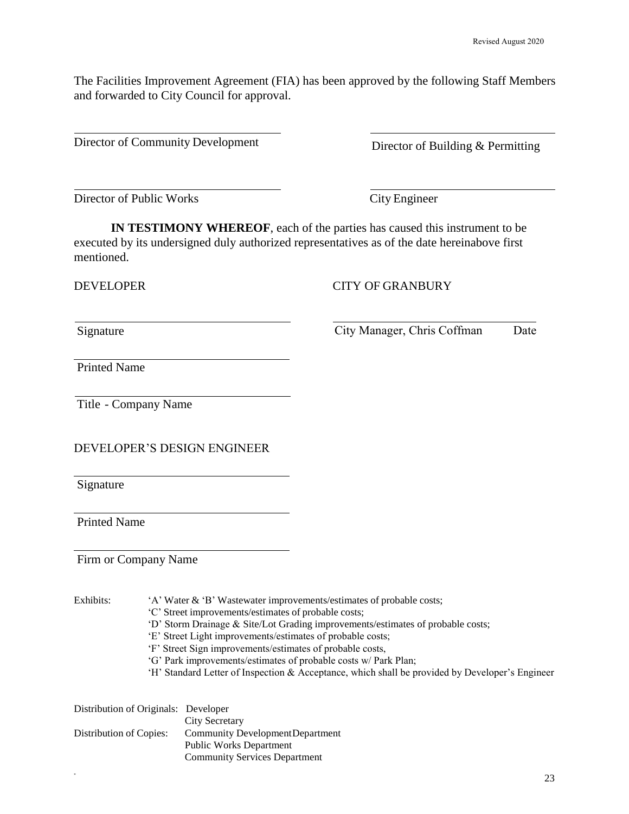The Facilities Improvement Agreement (FIA) has been approved by the following Staff Members and forwarded to City Council for approval.

Director of Community Development Director of Building & Permitting

Director of Public Works City Engineer

**IN TESTIMONY WHEREOF**, each of the parties has caused this instrument to be executed by its undersigned duly authorized representatives as of the date hereinabove first mentioned.

#### DEVELOPER CITY OF GRANBURY

Signature City Manager, Chris Coffman Date

Printed Name

Title - Company Name

DEVELOPER'S DESIGN ENGINEER

Signature

Printed Name

Firm or Company Name

\*

Exhibits: 'A' Water & 'B' Wastewater improvements/estimates of probable costs;

- 'C' Street improvements/estimates of probable costs;
- 'D' Storm Drainage & Site/Lot Grading improvements/estimates of probable costs;
- 'E' Street Light improvements/estimates of probable costs;
- 'F' Street Sign improvements/estimates of probable costs,
- 'G' Park improvements/estimates of probable costs w/ Park Plan;
- 'H' Standard Letter of Inspection & Acceptance, which shall be provided by Developer's Engineer

| Distribution of Originals: Developer |                                      |
|--------------------------------------|--------------------------------------|
|                                      | City Secretary                       |
| Distribution of Copies:              | Community Development Department     |
|                                      | <b>Public Works Department</b>       |
|                                      | <b>Community Services Department</b> |